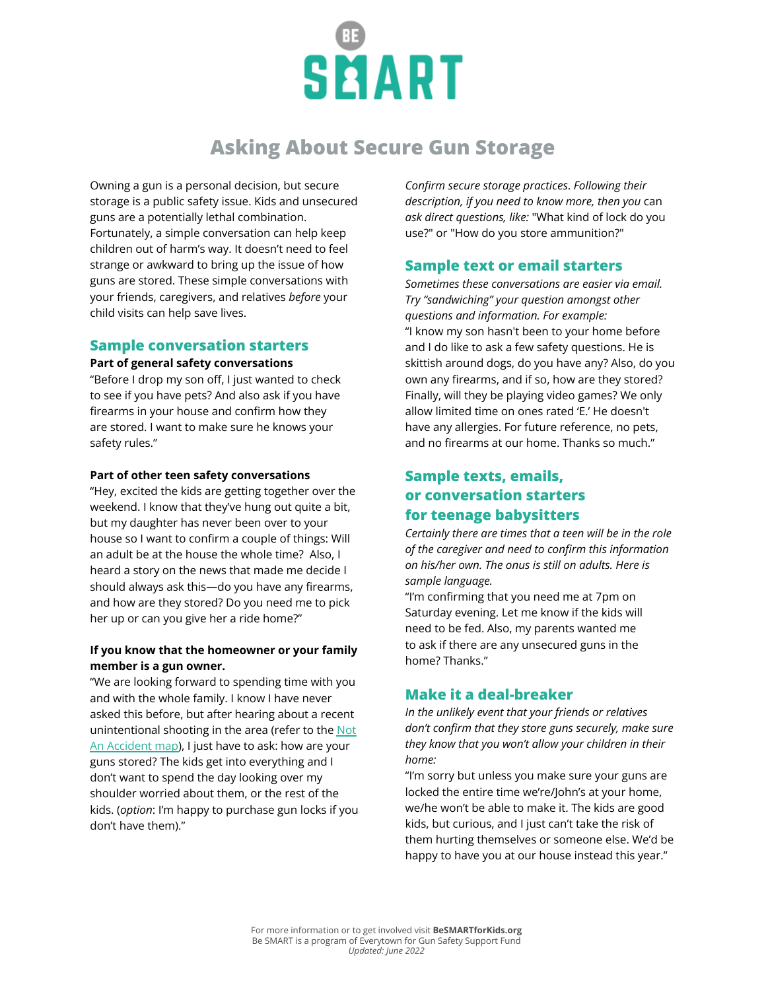

# **Asking About Secure Gun Storage**

Owning a gun is a personal decision, but secure storage is a public safety issue. Kids and unsecured guns are a potentially lethal combination. Fortunately, a simple conversation can help keep children out of harm's way. It doesn't need to feel strange or awkward to bring up the issue of how guns are stored. These simple conversations with your friends, caregivers, and relatives *before* your child visits can help save lives.

### **Sample conversation starters**

#### **Part of general safety conversations**

"Before I drop my son off, I just wanted to check to see if you have pets? And also ask if you have firearms in your house and confirm how they are stored. I want to make sure he knows your safety rules."

#### **Part of other teen safety conversations**

"Hey, excited the kids are getting together over the weekend. I know that they've hung out quite a bit, but my daughter has never been over to your house so I want to confirm a couple of things: Will an adult be at the house the whole time? Also, I heard a story on the news that made me decide I should always ask this—do you have any firearms, and how are they stored? Do you need me to pick her up or can you give her a ride home?"

### **If you know that the homeowner or your family member is a gun owner.**

"We are looking forward to spending time with you and with the whole family. I know I have never asked this before, but after hearing about a recent unintentional shooting in the area (refer to the [Not](https://everytownresearch.org/notanaccident/) [An Accident map\)](https://everytownresearch.org/notanaccident/), I just have to ask: how are your guns stored? The kids get into everything and I don't want to spend the day looking over my shoulder worried about them, or the rest of the kids. (*option*: I'm happy to purchase gun locks if you don't have them)."

*Confirm secure storage practices*. *Following their description, if you need to know more, then you* can *ask direct questions, like:* "What kind of lock do you use?" or "How do you store ammunition?"

## **Sample text or email starters**

*Sometimes these conversations are easier via email. Try "sandwiching" your question amongst other questions and information. For example:* "I know my son hasn't been to your home before and I do like to ask a few safety questions. He is skittish around dogs, do you have any? Also, do you own any firearms, and if so, how are they stored? Finally, will they be playing video games? We only allow limited time on ones rated 'E.' He doesn't have any allergies. For future reference, no pets, and no firearms at our home. Thanks so much."

# **Sample texts, emails, or conversation starters for teenage babysitters**

*Certainly there are times that a teen will be in the role of the caregiver and need to confirm this information on his/her own. The onus is still on adults. Here is sample language.*

"I'm confirming that you need me at 7pm on Saturday evening. Let me know if the kids will need to be fed. Also, my parents wanted me to ask if there are any unsecured guns in the home? Thanks."

## **Make it a deal-breaker**

*In the unlikely event that your friends or relatives don't confirm that they store guns securely, make sure they know that you won't allow your children in their home:*

"I'm sorry but unless you make sure your guns are locked the entire time we're/John's at your home, we/he won't be able to make it. The kids are good kids, but curious, and I just can't take the risk of them hurting themselves or someone else. We'd be happy to have you at our house instead this year."